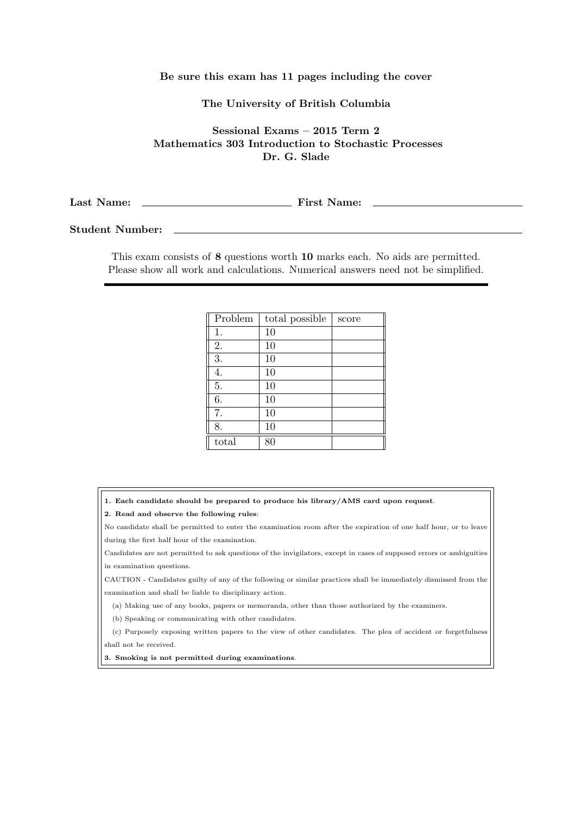## Be sure this exam has 11 pages including the cover

## The University of British Columbia

Sessional Exams – 2015 Term 2 Mathematics 303 Introduction to Stochastic Processes Dr. G. Slade

Last Name: First Name:

Student Number:

This exam consists of 8 questions worth 10 marks each. No aids are permitted. Please show all work and calculations. Numerical answers need not be simplified.

| Problem | total possible | score |
|---------|----------------|-------|
| 1.      | 10             |       |
| 2.      | 10             |       |
| 3.      | 10             |       |
| 4.      | 10             |       |
| 5.      | 10             |       |
| 6.      | 10             |       |
| 7.      | 10             |       |
| 8.      | 10             |       |
| total   | 80             |       |

1. Each candidate should be prepared to produce his library/AMS card upon request.

2. Read and observe the following rules:

No candidate shall be permitted to enter the examination room after the expiration of one half hour, or to leave during the first half hour of the examination.

Candidates are not permitted to ask questions of the invigilators, except in cases of supposed errors or ambiguities in examination questions.

CAUTION - Candidates guilty of any of the following or similar practices shall be immediately dismissed from the examination and shall be liable to disciplinary action.

(a) Making use of any books, papers or memoranda, other than those authorized by the examiners.

(b) Speaking or communicating with other candidates.

(c) Purposely exposing written papers to the view of other candidates. The plea of accident or forgetfulness shall not be received.

3. Smoking is not permitted during examinations.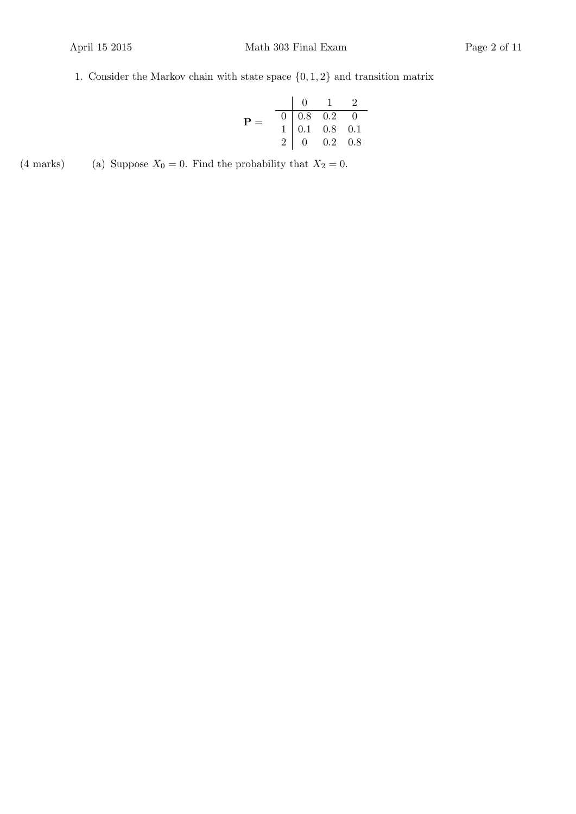## 1. Consider the Markov chain with state space  $\{0, 1, 2\}$  and transition matrix

|              |                                                                                                          | $0 \quad 1$ |  |
|--------------|----------------------------------------------------------------------------------------------------------|-------------|--|
| $\mathbf{P}$ |                                                                                                          |             |  |
|              |                                                                                                          |             |  |
|              | $\begin{tabular}{c cccc} 0 & 0.8 & 0.2 & 0 \\ 1 & 0.1 & 0.8 & 0.1 \\ 2 & 0 & 0.2 & 0.8 \\ \end{tabular}$ |             |  |

(4 marks) (a) Suppose  $X_0 = 0$ . Find the probability that  $X_2 = 0$ .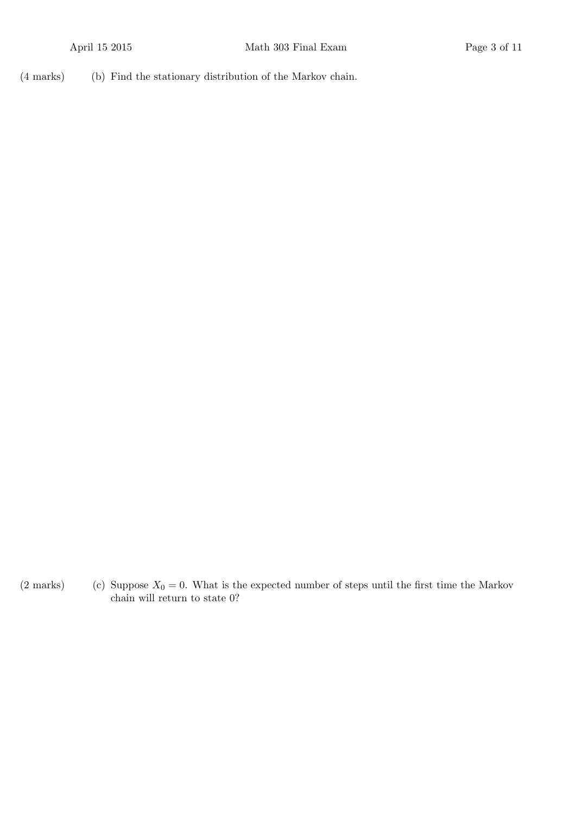(b)(4 marks) Find the stationary distribution of the Markov chain.

(2 marks) (c) Suppose  $X_0 = 0$ . What is the expected number of steps until the first time the Markov chain will return to state 0?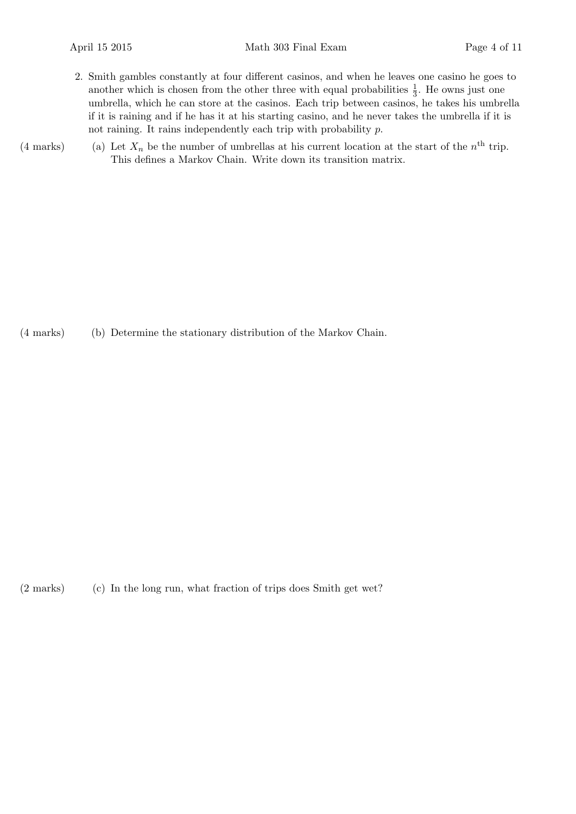- 2. Smith gambles constantly at four different casinos, and when he leaves one casino he goes to another which is chosen from the other three with equal probabilities  $\frac{1}{3}$ . He owns just one umbrella, which he can store at the casinos. Each trip between casinos, he takes his umbrella if it is raining and if he has it at his starting casino, and he never takes the umbrella if it is not raining. It rains independently each trip with probability p.
- (4 marks) (a) Let  $X_n$  be the number of umbrellas at his current location at the start of the  $n<sup>th</sup>$  trip. This defines a Markov Chain. Write down its transition matrix.

(b)(4 marks) Determine the stationary distribution of the Markov Chain.

 $(2 \text{ marks})$  In the long run, what fraction of trips does Smith get wet?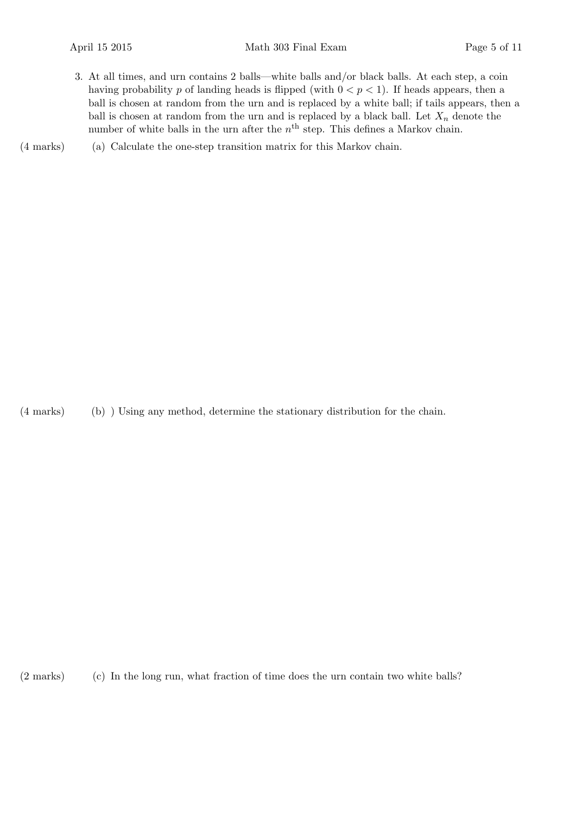- 3. At all times, and urn contains 2 balls—white balls and/or black balls. At each step, a coin having probability p of landing heads is flipped (with  $0 < p < 1$ ). If heads appears, then a ball is chosen at random from the urn and is replaced by a white ball; if tails appears, then a ball is chosen at random from the urn and is replaced by a black ball. Let  $X_n$  denote the number of white balls in the urn after the  $n<sup>th</sup>$  step. This defines a Markov chain.
- (a)(4 marks) Calculate the one-step transition matrix for this Markov chain.

(b)(4 marks) ) Using any method, determine the stationary distribution for the chain.

(2 marks) (c) In the long run, what fraction of time does the urn contain two white balls?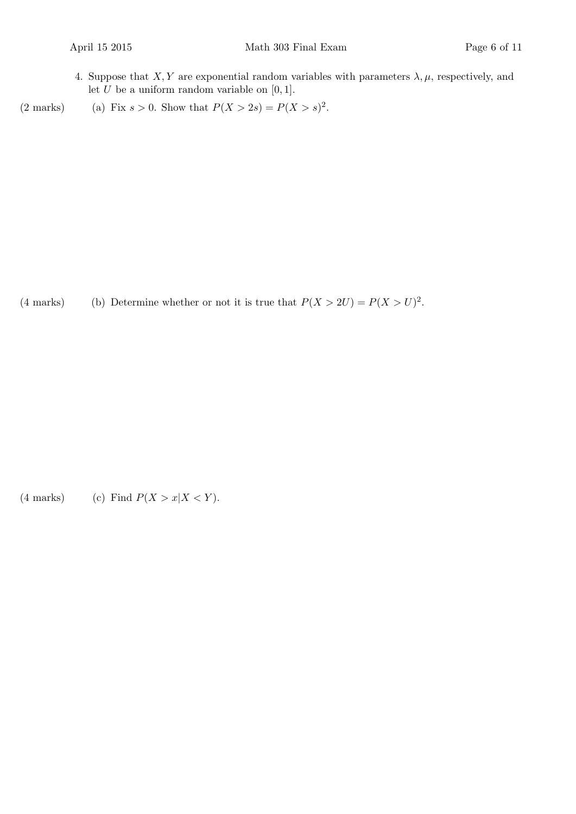4. Suppose that  $X, Y$  are exponential random variables with parameters  $\lambda, \mu$ , respectively, and let  $U$  be a uniform random variable on  $[0, 1]$ .

(2 marks) (a) Fix  $s > 0$ . Show that  $P(X > 2s) = P(X > s)^2$ .

(4 marks) (b) Determine whether or not it is true that  $P(X > 2U) = P(X > U)^2$ .

(4 marks) (c) Find  $P(X > x | X < Y)$ .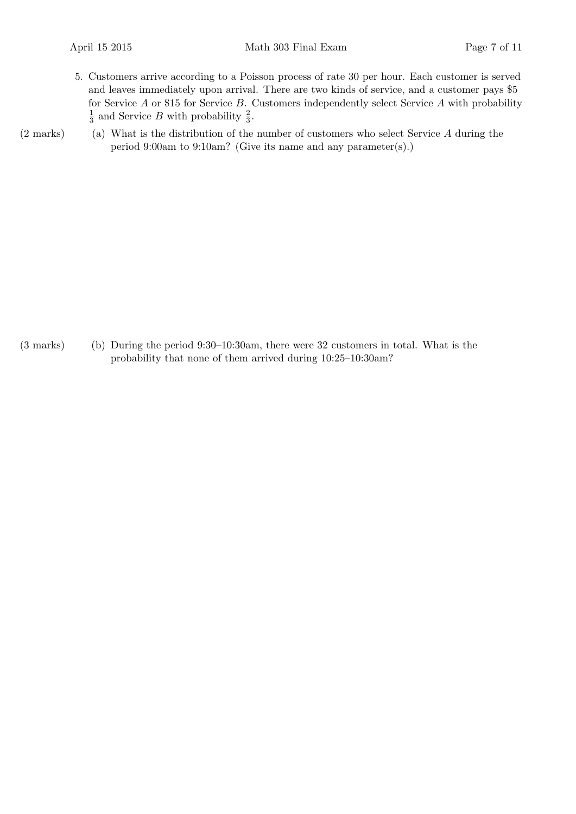- 5. Customers arrive according to a Poisson process of rate 30 per hour. Each customer is served and leaves immediately upon arrival. There are two kinds of service, and a customer pays \$5 for Service  $A$  or \$15 for Service  $B$ . Customers independently select Service  $A$  with probability 1  $\frac{1}{3}$  and Service B with probability  $\frac{2}{3}$ .
- $(2 \text{ marks})$  (a) What is the distribution of the number of customers who select Service A during the period 9:00am to 9:10am? (Give its name and any parameter(s).)

(b)(3 marks) During the period 9:30–10:30am, there were 32 customers in total. What is the probability that none of them arrived during 10:25–10:30am?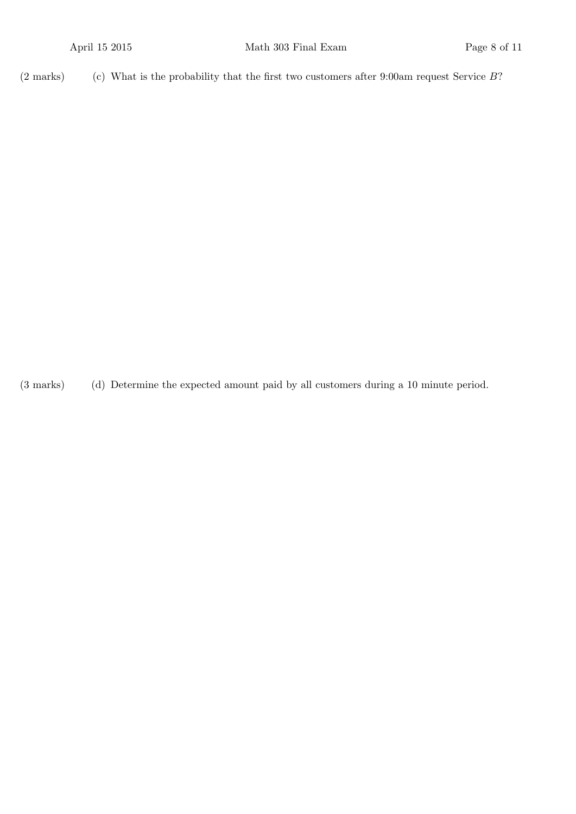(2 marks) (c) What is the probability that the first two customers after 9:00am request Service  $B$ ?

(d)(3 marks) Determine the expected amount paid by all customers during a 10 minute period.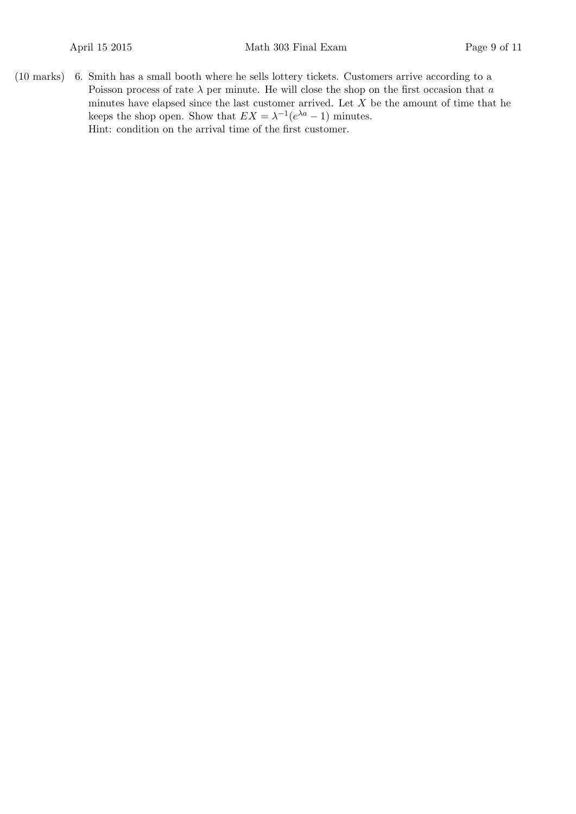$(10 \text{ marks})$  6. Smith has a small booth where he sells lottery tickets. Customers arrive according to a Poisson process of rate  $\lambda$  per minute. He will close the shop on the first occasion that  $a$ minutes have elapsed since the last customer arrived. Let  $X$  be the amount of time that he keeps the shop open. Show that  $EX = \lambda^{-1}(e^{\lambda a} - 1)$  minutes. Hint: condition on the arrival time of the first customer.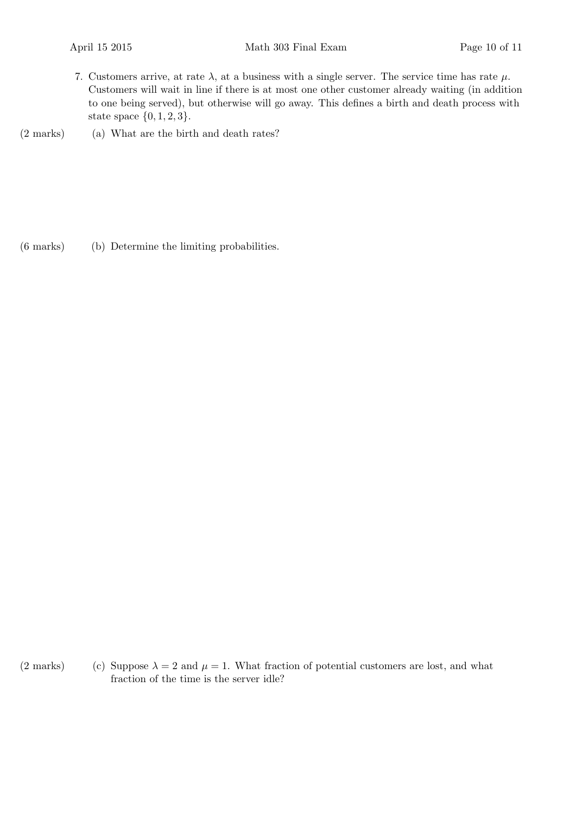- 7. Customers arrive, at rate  $\lambda$ , at a business with a single server. The service time has rate  $\mu$ . Customers will wait in line if there is at most one other customer already waiting (in addition to one being served), but otherwise will go away. This defines a birth and death process with state space  $\{0, 1, 2, 3\}.$
- $(2 \text{ marks})$  (a) What are the birth and death rates?

(b)(6 marks) Determine the limiting probabilities.

(2 marks) (c) Suppose  $\lambda = 2$  and  $\mu = 1$ . What fraction of potential customers are lost, and what fraction of the time is the server idle?